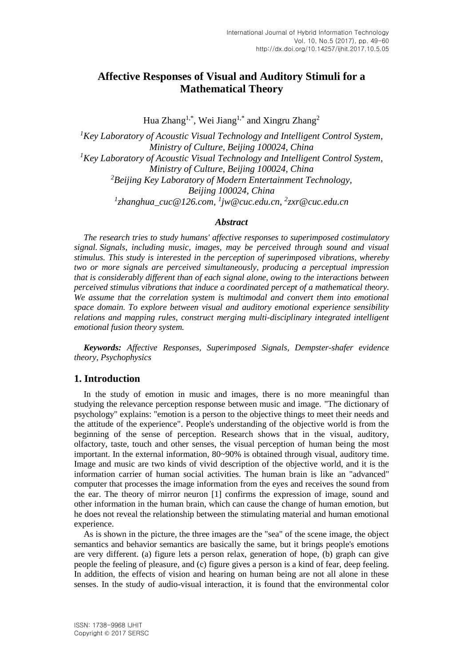# **Affective Responses of Visual and Auditory Stimuli for a Mathematical Theory**

Hua Zhang<sup>1,\*</sup>, Wei Jiang<sup>1,\*</sup> and Xingru Zhang<sup>2</sup>

*<sup>1</sup>Key Laboratory of Acoustic Visual Technology and Intelligent Control System, Ministry of Culture, Beijing 100024, China <sup>1</sup>Key Laboratory of Acoustic Visual Technology and Intelligent Control System, Ministry of Culture, Beijing 100024, China <sup>2</sup>Beijing Key Laboratory of Modern Entertainment Technology, Beijing 100024, China 1 zhanghua\_cuc@126.com, 1 jw@cuc.edu.cn, 2 zxr@cuc.edu.cn*

#### *Abstract*

*The research tries to study humans' affective responses to superimposed costimulatory signal. Signals, including music, images, may be perceived through sound and visual stimulus. This study is interested in the perception of superimposed vibrations, whereby two or more signals are perceived simultaneously, producing a perceptual impression that is considerably different than of each signal alone, owing to the interactions between perceived stimulus vibrations that induce a coordinated percept of a mathematical theory.*  We assume that the correlation system is multimodal and convert them into emotional *space domain. To explore between visual and auditory emotional experience sensibility relations and mapping rules, construct merging multi-disciplinary integrated intelligent emotional fusion theory system.*

*Keywords: Affective Responses, Superimposed Signals, Dempster-shafer evidence theory, Psychophysics*

## **1. Introduction**

In the study of emotion in music and images, there is no more meaningful than studying the relevance perception response between music and image. "The dictionary of psychology" explains: "emotion is a person to the objective things to meet their needs and the attitude of the experience". People's understanding of the objective world is from the beginning of the sense of perception. Research shows that in the visual, auditory, olfactory, taste, touch and other senses, the visual perception of human being the most important. In the external information, 80~90% is obtained through visual, auditory time. Image and music are two kinds of vivid description of the objective world, and it is the information carrier of human social activities. The human brain is like an "advanced" computer that processes the image information from the eyes and receives the sound from the ear. The theory of mirror neuron [1] confirms the expression of image, sound and other information in the human brain, which can cause the change of human emotion, but he does not reveal the relationship between the stimulating material and human emotional experience.

As is shown in the picture, the three images are the "sea" of the scene image, the object semantics and behavior semantics are basically the same, but it brings people's emotions are very different. (a) figure lets a person relax, generation of hope, (b) graph can give people the feeling of pleasure, and (c) figure gives a person is a kind of fear, deep feeling. In addition, the effects of vision and hearing on human being are not all alone in these senses. In the study of audio-visual interaction, it is found that the environmental color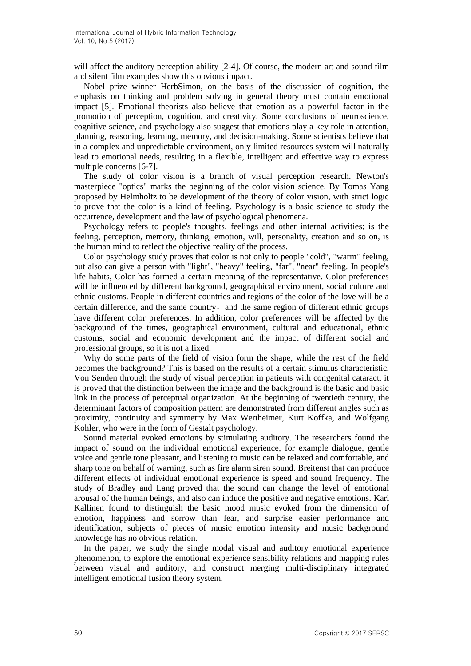will affect the auditory perception ability [2-4]. Of course, the modern art and sound film and silent film examples show this obvious impact.

Nobel prize winner HerbSimon, on the basis of the discussion of cognition, the emphasis on thinking and problem solving in general theory must contain emotional impact [5]. Emotional theorists also believe that emotion as a powerful factor in the promotion of perception, cognition, and creativity. Some conclusions of neuroscience, cognitive science, and psychology also suggest that emotions play a key role in attention, planning, reasoning, learning, memory, and decision-making. Some scientists believe that in a complex and unpredictable environment, only limited resources system will naturally lead to emotional needs, resulting in a flexible, intelligent and effective way to express multiple concerns [6-7].

The study of color vision is a branch of visual perception research. Newton's masterpiece "optics" marks the beginning of the color vision science. By Tomas Yang proposed by Helmholtz to be development of the theory of color vision, with strict logic to prove that the color is a kind of feeling. Psychology is a basic science to study the occurrence, development and the law of psychological phenomena.

Psychology refers to people's thoughts, feelings and other internal activities; is the feeling, perception, memory, thinking, emotion, will, personality, creation and so on, is the human mind to reflect the objective reality of the process.

Color psychology study proves that color is not only to people "cold", "warm" feeling, but also can give a person with "light", "heavy" feeling, "far", "near" feeling. In people's life habits, Color has formed a certain meaning of the representative. Color preferences will be influenced by different background, geographical environment, social culture and ethnic customs. People in different countries and regions of the color of the love will be a certain difference, and the same country, and the same region of different ethnic groups have different color preferences. In addition, color preferences will be affected by the background of the times, geographical environment, cultural and educational, ethnic customs, social and economic development and the impact of different social and professional groups, so it is not a fixed.

Why do some parts of the field of vision form the shape, while the rest of the field becomes the background? This is based on the results of a certain stimulus characteristic. Von Senden through the study of visual perception in patients with congenital cataract, it is proved that the distinction between the image and the background is the basic and basic link in the process of perceptual organization. At the beginning of twentieth century, the determinant factors of composition pattern are demonstrated from different angles such as proximity, continuity and symmetry by Max Wertheimer, Kurt Koffka, and Wolfgang Kohler, who were in the form of Gestalt psychology.

Sound material evoked emotions by stimulating auditory. The researchers found the impact of sound on the individual emotional experience, for example dialogue, gentle voice and gentle tone pleasant, and listening to music can be relaxed and comfortable, and sharp tone on behalf of warning, such as fire alarm siren sound. Breitenst that can produce different effects of individual emotional experience is speed and sound frequency. The study of Bradley and Lang proved that the sound can change the level of emotional arousal of the human beings, and also can induce the positive and negative emotions. Kari Kallinen found to distinguish the basic mood music evoked from the dimension of emotion, happiness and sorrow than fear, and surprise easier performance and identification, subjects of pieces of music emotion intensity and music background knowledge has no obvious relation.

In the paper, we study the single modal visual and auditory emotional experience phenomenon, to explore the emotional experience sensibility relations and mapping rules between visual and auditory, and construct merging multi-disciplinary integrated intelligent emotional fusion theory system.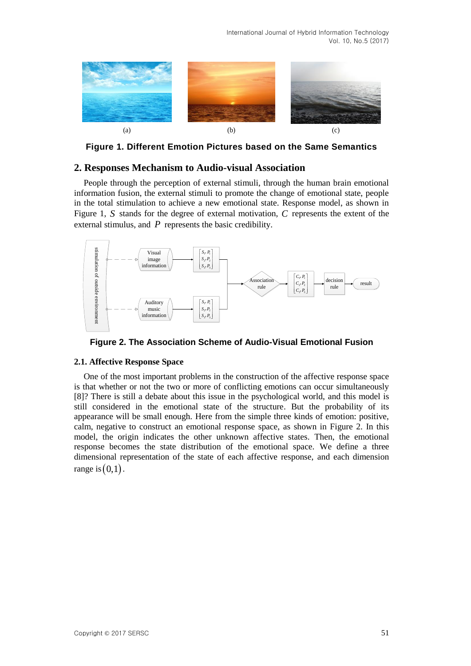

**Figure 1. Different Emotion Pictures based on the Same Semantics**

## **2. Responses Mechanism to Audio-visual Association**

People through the perception of external stimuli, through the human brain emotional information fusion, the external stimuli to promote the change of emotional state, people in the total stimulation to achieve a new emotional state. Response model, as shown in Figure 1, S stands for the degree of external motivation, C represents the extent of the external stimulus, and  $P$  represents the basic credibility.





### **2.1. Affective Response Space**

One of the most important problems in the construction of the affective response space is that whether or not the two or more of conflicting emotions can occur simultaneously [8]? There is still a debate about this issue in the psychological world, and this model is still considered in the emotional state of the structure. But the probability of its appearance will be small enough. Here from the simple three kinds of emotion: positive, calm, negative to construct an emotional response space, as shown in Figure 2. In this model, the origin indicates the other unknown affective states. Then, the emotional response becomes the state distribution of the emotional space. We define a three dimensional representation of the state of each affective response, and each dimension range is  $(0,1)$ .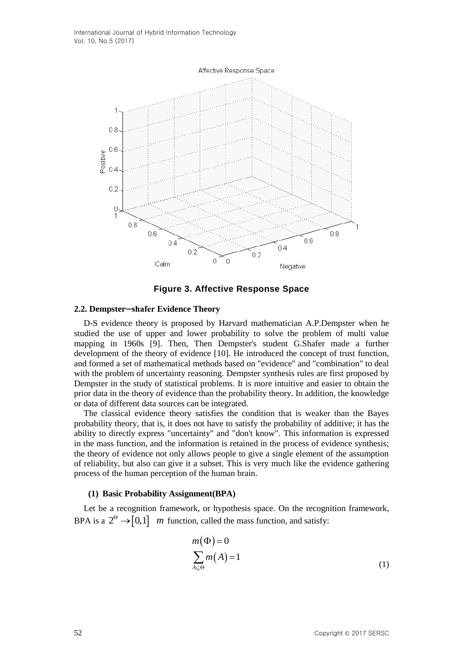

**Figure 3. Affective Response Space**

### **2.2. Dempster─shafer Evidence Theory**

D-S evidence theory is proposed by Harvard mathematician A.P.Dempster when he studied the use of upper and lower probability to solve the problem of multi value mapping in 1960s [9]. Then, Then Dempster's student G.Shafer made a further development of the theory of evidence [10]. He introduced the concept of trust function, and formed a set of mathematical methods based on "evidence" and "combination" to deal with the problem of uncertainty reasoning. Dempster synthesis rules are first proposed by Dempster in the study of statistical problems. It is more intuitive and easier to obtain the prior data in the theory of evidence than the probability theory. In addition, the knowledge or data of different data sources can be integrated.

The classical evidence theory satisfies the condition that is weaker than the Bayes probability theory, that is, it does not have to satisfy the probability of additive; it has the ability to directly express "uncertainty" and "don't know". This information is expressed in the mass function, and the information is retained in the process of evidence synthesis; the theory of evidence not only allows people to give a single element of the assumption of reliability, but also can give it a subset. This is very much like the evidence gathering process of the human perception of the human brain.

#### **(1) Basic Probability Assignment(BPA)**

Let be a recognition framework, or hypothesis space. On the recognition framework, BPA is a  $2^{\circ} \rightarrow [0,1]$  *m* function, called the mass function, and satisfy:

$$
m(\Phi) = 0
$$
  

$$
\sum_{A \subseteq \Theta} m(A) = 1
$$
 (1)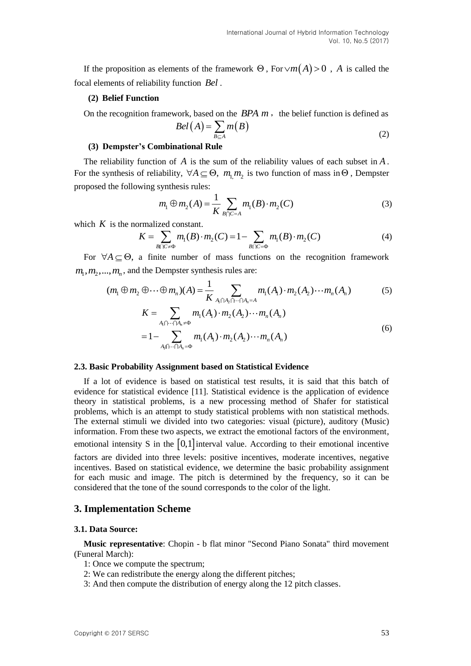If the proposition as elements of the framework  $\Theta$ , For  $\lor m(A) > 0$ , A is called the focal elements of reliability function *Bel* .

#### **(2) Belief Function**

On the recognition framework, based on the  $BPA$   $m$ , the belief function is defined as

$$
Bel(A) = \sum_{B \subseteq A} m(B)
$$
 (2)

#### **(3) Dempster's Combinational Rule**

The reliability function of  $A$  is the sum of the reliability values of each subset in  $A$ . For the synthesis of reliability,  $\forall A \subseteq \Theta$ ,  $m_1 m_2$  is two function of mass in  $\Theta$ , Dempster proposed the following synthesis rules:

$$
m_1 \oplus m_2(A) = \frac{1}{K} \sum_{B \cap C = A} m_1(B) \cdot m_2(C)
$$
 (3)

which  $K$  is the normalized constant.

$$
K = \sum_{B \cap C \neq \Phi} m_1(B) \cdot m_2(C) = 1 - \sum_{B \cap C = \Phi} m_1(B) \cdot m_2(C)
$$
 (4)

For  $\forall A \subseteq \Theta$ , a finite number of mass functions on the recognition framework  $m_1, m_2, ..., m_n$ , and the Dempster synthesis rules are:

$$
(m_1 \oplus m_2 \oplus \cdots \oplus m_n)(A) = \frac{1}{K} \sum_{A_1 \cap A_2 \cap \cdots \cap A_n = A} m_1(A_1) \cdot m_2(A_2) \cdots m_n(A_n)
$$
(5)  

$$
K = \sum_{A_1 \cap \cdots \cap A_n \neq \Phi} m_1(A_1) \cdot m_2(A_2) \cdots m_n(A_n)
$$
  

$$
= 1 - \sum_{A_1 \cap \cdots \cap A_n = \Phi} m_1(A_1) \cdot m_2(A_2) \cdots m_n(A_n)
$$
(6)

#### **2.3. Basic Probability Assignment based on Statistical Evidence**

If a lot of evidence is based on statistical test results, it is said that this batch of evidence for statistical evidence [11]. Statistical evidence is the application of evidence theory in statistical problems, is a new processing method of Shafer for statistical problems, which is an attempt to study statistical problems with non statistical methods. The external stimuli we divided into two categories: visual (picture), auditory (Music) information. From these two aspects, we extract the emotional factors of the environment, emotional intensity S in the  $[0,1]$  interval value. According to their emotional incentive factors are divided into three levels: positive incentives, moderate incentives, negative incentives. Based on statistical evidence, we determine the basic probability assignment for each music and image. The pitch is determined by the frequency, so it can be considered that the tone of the sound corresponds to the color of the light.

#### **3. Implementation Scheme**

#### **3.1. Data Source:**

**Music representative**: Chopin - b flat minor "Second Piano Sonata" third movement (Funeral March):

- 1: Once we compute the spectrum;
- 2: We can redistribute the energy along the different pitches;
- 3: And then compute the distribution of energy along the 12 pitch classes.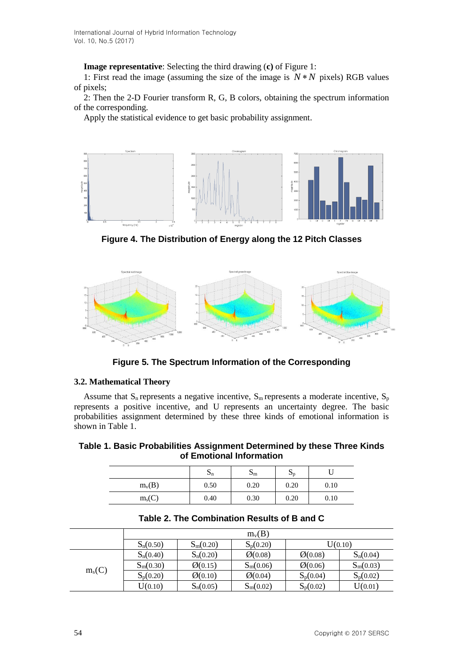**Image representative**: Selecting the third drawing (**c)** of Figure 1:

1: First read the image (assuming the size of the image is  $N*N$  pixels) RGB values of pixels;

2: Then the 2-D Fourier transform R, G, B colors, obtaining the spectrum information of the corresponding.

Apply the statistical evidence to get basic probability assignment.



**Figure 4. The Distribution of Energy along the 12 Pitch Classes**



**Figure 5. The Spectrum Information of the Corresponding**

## **3.2. Mathematical Theory**

Assume that  $S_n$  represents a negative incentive,  $S_m$  represents a moderate incentive,  $S_p$ represents a positive incentive, and U represents an uncertainty degree. The basic probabilities assignment determined by these three kinds of emotional information is shown in Table 1.

**Table 1. Basic Probabilities Assignment Determined by these Three Kinds of Emotional Information**

|          | ⊃ո   | $\mathbf{D}_{\mathrm{m}}$ | PD   |      |
|----------|------|---------------------------|------|------|
| $m_v(B)$ | 0.50 | 0.20                      | 0.20 | 0.10 |
| $m_s(C)$ | 0.40 | 0.30                      | 0.20 | 0.10 |

|          | $m_v(B)$    |                    |                    |                    |             |
|----------|-------------|--------------------|--------------------|--------------------|-------------|
|          | $S_n(0.50)$ | $S_m(0.20)$        | $S_p(0.20)$        | U(0.10)            |             |
| $m_s(C)$ | $S_n(0.40)$ | $S_n(0.20)$        | $\emptyset$ (0.08) | $\emptyset$ (0.08) | $S_n(0.04)$ |
|          | $S_m(0.30)$ | $\emptyset$ (0.15) | $S_m(0.06)$        | $\emptyset$ (0.06) | $S_m(0.03)$ |
|          | $S_p(0.20)$ | $\emptyset$ (0.10) | $\emptyset$ (0.04) | $S_p(0.04)$        | $S_p(0.02)$ |
|          | U(0.10)     | $S_n(0.05)$        | $S_m(0.02)$        | $S_p(0.02)$        | U(0.01)     |

**Table 2. The Combination Results of B and C**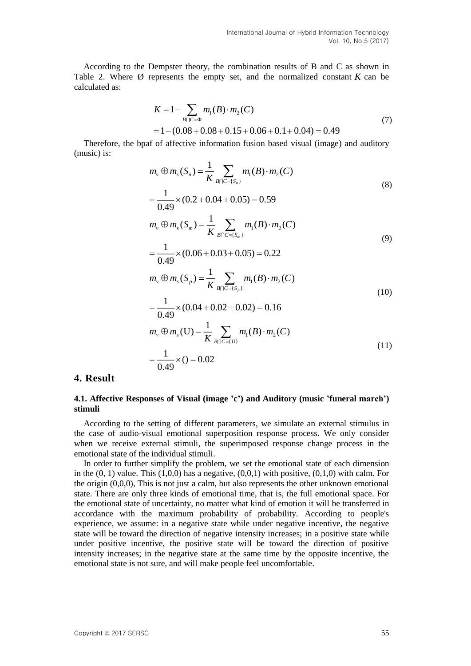According to the Dempster theory, the combination results of B and C as shown in Table 2. Where  $\emptyset$  represents the empty set, and the normalized constant  $K$  can be calculated as:

$$
K = 1 - \sum_{B \cap C = \Phi} m_1(B) \cdot m_2(C)
$$
  
= 1 - (0.08 + 0.08 + 0.15 + 0.06 + 0.1 + 0.04) = 0.49 (7)

Therefore, the bpaf of affective information fusion based visual (image) and auditory (music) is:

$$
m_{v} \oplus m_{s}(S_{n}) = \frac{1}{K} \sum_{B \cap C = \{S_{n}\}} m_{1}(B) \cdot m_{2}(C)
$$
\n
$$
1 \qquad (8.2 \quad 8.81 \quad 8.85) \quad 8.58 \tag{8}
$$

$$
= \frac{1}{0.49} \times (0.2 + 0.04 + 0.05) = 0.59
$$
  

$$
m_v \oplus m_s(S_m) = \frac{1}{K} \sum_{B \cap C = \{S_m\}} m_1(B) \cdot m_2(C)
$$
 (9)

$$
= \frac{1}{0.49} \times (0.06 + 0.03 + 0.05) = 0.22
$$
  

$$
m_v \oplus m_s(S_p) = \frac{1}{K} \sum_{B \cap C = \{S_p\}} m_1(B) \cdot m_2(C)
$$
 (10)

$$
= \frac{1}{0.49} \times (0.04 + 0.02 + 0.02) = 0.16
$$
  
\n
$$
m_v \oplus m_s(U) = \frac{1}{K} \sum_{B \cap C = \{U\}} m_1(B) \cdot m_2(C)
$$
  
\n
$$
= \frac{1}{0.49} \times (0) = 0.02
$$
\n(11)

## **4. Result**

### **4.1. Affective Responses of Visual (image 'c') and Auditory (music 'funeral march') stimuli**

According to the setting of different parameters, we simulate an external stimulus in the case of audio-visual emotional superposition response process. We only consider when we receive external stimuli, the superimposed response change process in the emotional state of the individual stimuli.

In order to further simplify the problem, we set the emotional state of each dimension in the  $(0, 1)$  value. This  $(1,0,0)$  has a negative,  $(0,0,1)$  with positive,  $(0,1,0)$  with calm. For the origin  $(0,0,0)$ . This is not just a calm, but also represents the other unknown emotional state. There are only three kinds of emotional time, that is, the full emotional space. For the emotional state of uncertainty, no matter what kind of emotion it will be transferred in accordance with the maximum probability of probability. According to people's experience, we assume: in a negative state while under negative incentive, the negative state will be toward the direction of negative intensity increases; in a positive state while under positive incentive, the positive state will be toward the direction of positive intensity increases; in the negative state at the same time by the opposite incentive, the emotional state is not sure, and will make people feel uncomfortable.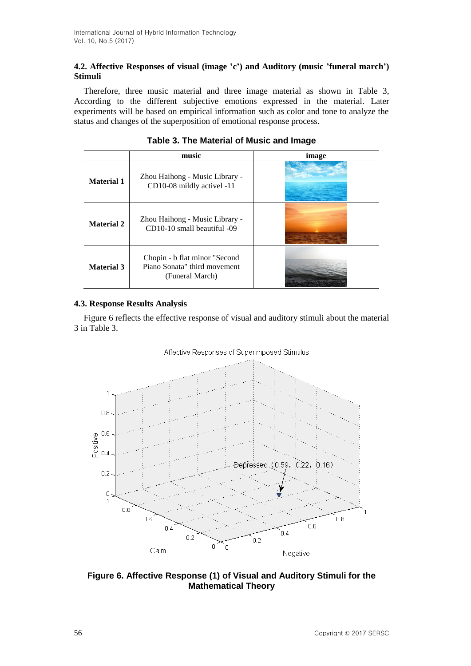## **4.2. Affective Responses of visual (image 'c') and Auditory (music 'funeral march') Stimuli**

Therefore, three music material and three image material as shown in Table 3, According to the different subjective emotions expressed in the material. Later experiments will be based on empirical information such as color and tone to analyze the status and changes of the superposition of emotional response process.

|                   | music                                                                             | image |
|-------------------|-----------------------------------------------------------------------------------|-------|
| <b>Material 1</b> | Zhou Haihong - Music Library -<br>CD10-08 mildly activel -11                      |       |
| <b>Material 2</b> | Zhou Haihong - Music Library -<br>CD10-10 small beautiful -09                     |       |
| <b>Material 3</b> | Chopin - b flat minor "Second"<br>Piano Sonata" third movement<br>(Funeral March) |       |

## **Table 3. The Material of Music and Image**

## **4.3. Response Results Analysis**

Figure 6 reflects the effective response of visual and auditory stimuli about the material 3 in Table 3.

### Affective Responses of Superimposed Stimulus



**Figure 6. Affective Response (1) of Visual and Auditory Stimuli for the Mathematical Theory**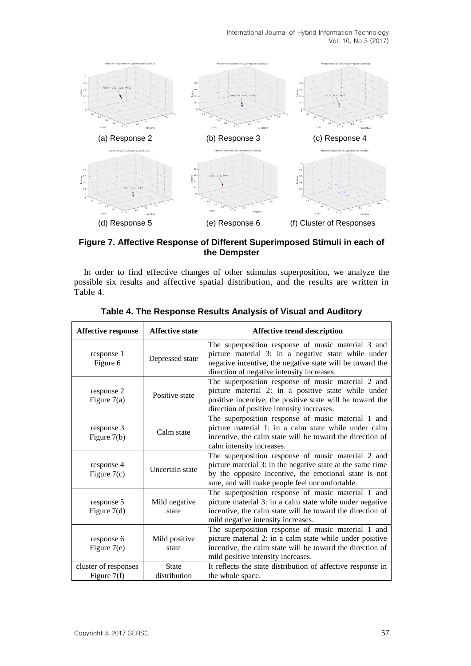International Journal of Hybrid Information Technology Vol. 10, No.5 (2017)



**Figure 7. Affective Response of Different Superimposed Stimuli in each of the Dempster**

In order to find effective changes of other stimulus superposition, we analyze the possible six results and affective spatial distribution, and the results are written in Table 4.

| <b>Affective response</b>           | <b>Affective state</b>       | <b>Affective trend description</b>                                                                                                                                                                                          |
|-------------------------------------|------------------------------|-----------------------------------------------------------------------------------------------------------------------------------------------------------------------------------------------------------------------------|
| response 1<br>Figure 6              | Depressed state              | The superposition response of music material 3 and<br>picture material 3: in a negative state while under<br>negative incentive, the negative state will be toward the<br>direction of negative intensity increases.        |
| response 2<br>Figure $7(a)$         | Positive state               | The superposition response of music material 2 and<br>picture material 2: in a positive state while under<br>positive incentive, the positive state will be toward the<br>direction of positive intensity increases.        |
| response 3<br>Figure $7(b)$         | Calm state                   | The superposition response of music material 1 and<br>picture material 1: in a calm state while under calm<br>incentive, the calm state will be toward the direction of<br>calm intensity increases.                        |
| response 4<br>Figure $7(c)$         | Uncertain state              | The superposition response of music material 2 and<br>picture material 3: in the negative state at the same time<br>by the opposite incentive, the emotional state is not<br>sure, and will make people feel uncomfortable. |
| response 5<br>Figure $7(d)$         | Mild negative<br>state       | The superposition response of music material 1 and<br>picture material 3: in a calm state while under negative<br>incentive, the calm state will be toward the direction of<br>mild negative intensity increases.           |
| response 6<br>Figure $7(e)$         | Mild positive<br>state       | The superposition response of music material 1 and<br>picture material 2: in a calm state while under positive<br>incentive, the calm state will be toward the direction of<br>mild positive intensity increases.           |
| cluster of responses<br>Figure 7(f) | <b>State</b><br>distribution | It reflects the state distribution of affective response in<br>the whole space.                                                                                                                                             |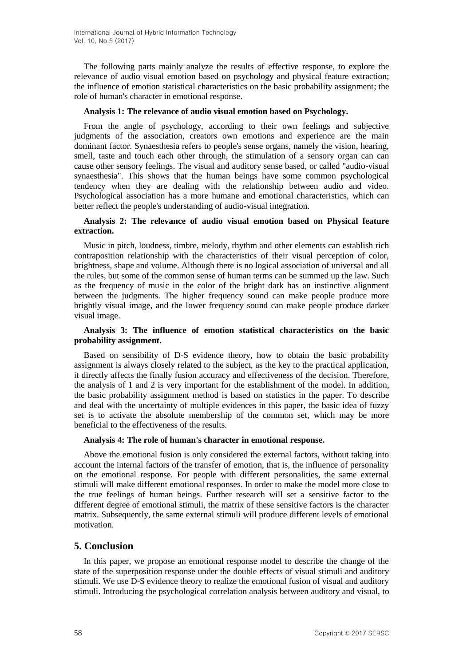The following parts mainly analyze the results of effective response, to explore the relevance of audio visual emotion based on psychology and physical feature extraction; the influence of emotion statistical characteristics on the basic probability assignment; the role of human's character in emotional response.

### **Analysis 1: The relevance of audio visual emotion based on Psychology.**

From the angle of psychology, according to their own feelings and subjective judgments of the association, creators own emotions and experience are the main dominant factor. Synaesthesia refers to people's sense organs, namely the vision, hearing, smell, taste and touch each other through, the stimulation of a sensory organ can can cause other sensory feelings. The visual and auditory sense based, or called "audio-visual synaesthesia". This shows that the human beings have some common psychological tendency when they are dealing with the relationship between audio and video. Psychological association has a more humane and emotional characteristics, which can better reflect the people's understanding of audio-visual integration.

### **Analysis 2: The relevance of audio visual emotion based on Physical feature extraction.**

Music in pitch, loudness, timbre, melody, rhythm and other elements can establish rich contraposition relationship with the characteristics of their visual perception of color, brightness, shape and volume. Although there is no logical association of universal and all the rules, but some of the common sense of human terms can be summed up the law. Such as the frequency of music in the color of the bright dark has an instinctive alignment between the judgments. The higher frequency sound can make people produce more brightly visual image, and the lower frequency sound can make people produce darker visual image.

### **Analysis 3: The influence of emotion statistical characteristics on the basic probability assignment.**

Based on sensibility of D-S evidence theory, how to obtain the basic probability assignment is always closely related to the subject, as the key to the practical application, it directly affects the finally fusion accuracy and effectiveness of the decision. Therefore, the analysis of 1 and 2 is very important for the establishment of the model. In addition, the basic probability assignment method is based on statistics in the paper. To describe and deal with the uncertainty of multiple evidences in this paper, the basic idea of fuzzy set is to activate the absolute membership of the common set, which may be more beneficial to the effectiveness of the results.

### **Analysis 4: The role of human's character in emotional response.**

Above the emotional fusion is only considered the external factors, without taking into account the internal factors of the transfer of emotion, that is, the influence of personality on the emotional response. For people with different personalities, the same external stimuli will make different emotional responses. In order to make the model more close to the true feelings of human beings. Further research will set a sensitive factor to the different degree of emotional stimuli, the matrix of these sensitive factors is the character matrix. Subsequently, the same external stimuli will produce different levels of emotional motivation.

## **5. Conclusion**

In this paper, we propose an emotional response model to describe the change of the state of the superposition response under the double effects of visual stimuli and auditory stimuli. We use D-S evidence theory to realize the emotional fusion of visual and auditory stimuli. Introducing the psychological correlation analysis between auditory and visual, to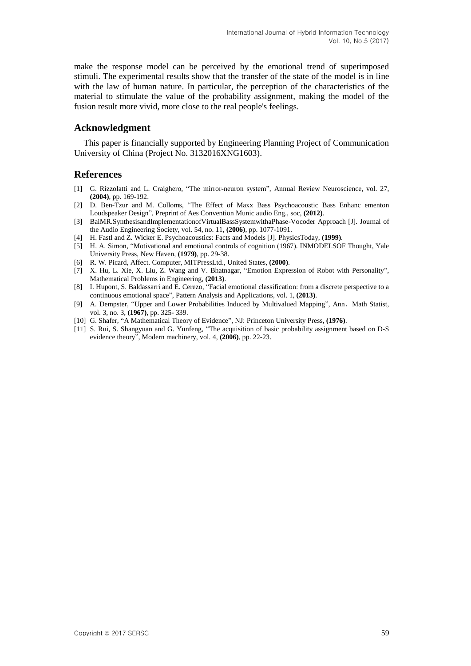make the response model can be perceived by the emotional trend of superimposed stimuli. The experimental results show that the transfer of the state of the model is in line with the law of human nature. In particular, the perception of the characteristics of the material to stimulate the value of the probability assignment, making the model of the fusion result more vivid, more close to the real people's feelings.

### **Acknowledgment**

This paper is financially supported by Engineering Planning Project of Communication University of China (Project No. 3132016XNG1603).

### **References**

- [1] G. Rizzolatti and L. Craighero, "The mirror-neuron system", Annual Review Neuroscience, vol. 27, **(2004)**, pp. 169-192.
- [2] D. Ben-Tzur and M. Colloms, "The Effect of Maxx Bass Psychoacoustic Bass Enhanc ementon Loudspeaker Design", Preprint of Aes Convention Munic audio Eng., soc, **(2012)**.
- [3] BaiMR.SynthesisandImplementationofVirtualBassSystemwithaPhase-Vocoder Approach [J]. Journal of the Audio Engineering Society, vol. 54, no. 11, **(2006)**, pp. 1077-1091.
- [4] H. Fastl and Z. Wicker E. Psychoacoustics: Facts and Models [J]. PhysicsToday, **(1999)**.
- [5] H. A. Simon, "Motivational and emotional controls of cognition (1967). INMODELSOF Thought, Yale University Press, New Haven, **(1979)**, pp. 29-38.
- [6] R. W. Picard, Affect. Computer, MITPressLtd., United States, **(2000)**.
- [7] X. Hu, L. Xie, X. Liu, Z. Wang and V. Bhatnagar, ["Emotion Expression of Robot with Personality"](http://www.cnki.net/kcms/detail/detail.aspx?filename=SJHD13110400000453&dbcode=SSJD&v=), Mathematical Problems in Engineering, **(2013)**.
- [8] I. Hupont, S. Baldassarri and E. Cerezo, ["Facial emotional classification: from a discrete perspective to a](http://www.cnki.net/kcms/detail/detail.aspx?filename=SSJD130122011335&dbcode=SSJD&v=)  [continuous emotional space"](http://www.cnki.net/kcms/detail/detail.aspx?filename=SSJD130122011335&dbcode=SSJD&v=), Pattern Analysis and Applications, vol. 1, **(2013)**.
- [9] A. Dempster, "Upper and Lower Probabilities Induced by Multivalued Mapping", Ann. Math Statist, vol. 3, no. 3, **(1967)**, pp. 325- 339.
- [10] G. Shafer, "A Mathematical Theory of Evidence", NJ: Princeton University Press, **(1976)**.
- [11] S. Rui, S. Shangyuan and G. Yunfeng, "The acquisition of basic probability assignment based on D-S evidence theory", Modern machinery, vol. 4, **(2006)**, pp. 22-23.